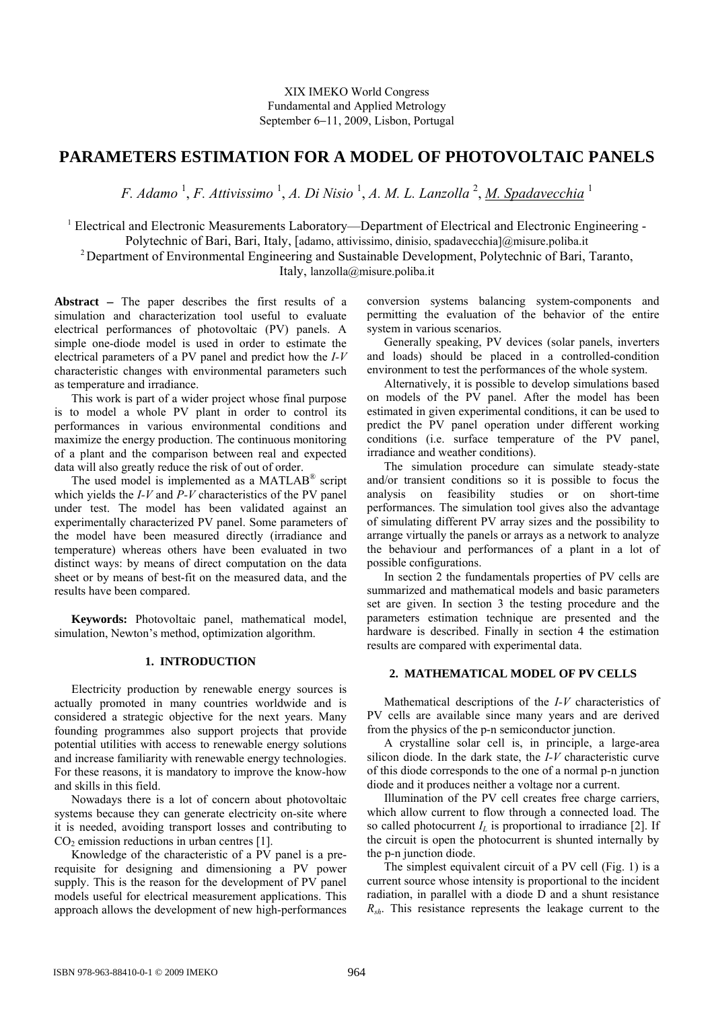# **PARAMETERS ESTIMATION FOR A MODEL OF PHOTOVOLTAIC PANELS**

F. Adamo<sup>1</sup>, F. Attivissimo<sup>1</sup>, A. Di Nisio<sup>1</sup>, A. M. L. Lanzolla<sup>2</sup>, <u>M. Spadavecchia</u><sup>1</sup>

<sup>1</sup> Electrical and Electronic Measurements Laboratory—Department of Electrical and Electronic Engineering -

Polytechnic of Bari, Bari, Italy, [adamo, attivissimo, dinisio, spadavecchia]@misure.poliba.it

2 Department of Environmental Engineering and Sustainable Development, Polytechnic of Bari, Taranto,

Italy, lanzolla@misure.poliba.it

**Abstract** − The paper describes the first results of a simulation and characterization tool useful to evaluate electrical performances of photovoltaic (PV) panels. A simple one-diode model is used in order to estimate the electrical parameters of a PV panel and predict how the *I-V* characteristic changes with environmental parameters such as temperature and irradiance.

This work is part of a wider project whose final purpose is to model a whole PV plant in order to control its performances in various environmental conditions and maximize the energy production. The continuous monitoring of a plant and the comparison between real and expected data will also greatly reduce the risk of out of order.

The used model is implemented as a MATLAB<sup>®</sup> script which yields the *I-V* and *P-V* characteristics of the PV panel under test. The model has been validated against an experimentally characterized PV panel. Some parameters of the model have been measured directly (irradiance and temperature) whereas others have been evaluated in two distinct ways: by means of direct computation on the data sheet or by means of best-fit on the measured data, and the results have been compared.

**Keywords:** Photovoltaic panel, mathematical model, simulation, Newton's method, optimization algorithm.

# **1. INTRODUCTION**

Electricity production by renewable energy sources is actually promoted in many countries worldwide and is considered a strategic objective for the next years. Many founding programmes also support projects that provide potential utilities with access to renewable energy solutions and increase familiarity with renewable energy technologies. For these reasons, it is mandatory to improve the know-how and skills in this field.

Nowadays there is a lot of concern about photovoltaic systems because they can generate electricity on-site where it is needed, avoiding transport losses and contributing to  $CO<sub>2</sub>$  emission reductions in urban centres [1].

Knowledge of the characteristic of a PV panel is a prerequisite for designing and dimensioning a PV power supply. This is the reason for the development of PV panel models useful for electrical measurement applications. This approach allows the development of new high-performances

conversion systems balancing system-components and permitting the evaluation of the behavior of the entire system in various scenarios.

Generally speaking, PV devices (solar panels, inverters and loads) should be placed in a controlled-condition environment to test the performances of the whole system.

Alternatively, it is possible to develop simulations based on models of the PV panel. After the model has been estimated in given experimental conditions, it can be used to predict the PV panel operation under different working conditions (i.e. surface temperature of the PV panel, irradiance and weather conditions).

The simulation procedure can simulate steady-state and/or transient conditions so it is possible to focus the analysis on feasibility studies or on short-time performances. The simulation tool gives also the advantage of simulating different PV array sizes and the possibility to arrange virtually the panels or arrays as a network to analyze the behaviour and performances of a plant in a lot of possible configurations.

In section 2 the fundamentals properties of PV cells are summarized and mathematical models and basic parameters set are given. In section 3 the testing procedure and the parameters estimation technique are presented and the hardware is described. Finally in section 4 the estimation results are compared with experimental data.

# **2. MATHEMATICAL MODEL OF PV CELLS**

Mathematical descriptions of the *I-V* characteristics of PV cells are available since many years and are derived from the physics of the p-n semiconductor junction.

A crystalline solar cell is, in principle, a large-area silicon diode. In the dark state, the *I-V* characteristic curve of this diode corresponds to the one of a normal p-n junction diode and it produces neither a voltage nor a current.

Illumination of the PV cell creates free charge carriers, which allow current to flow through a connected load. The so called photocurrent  $I_L$  is proportional to irradiance [2]. If the circuit is open the photocurrent is shunted internally by the p-n junction diode.

The simplest equivalent circuit of a PV cell (Fig. 1) is a current source whose intensity is proportional to the incident radiation, in parallel with a diode D and a shunt resistance *Rsh*. This resistance represents the leakage current to the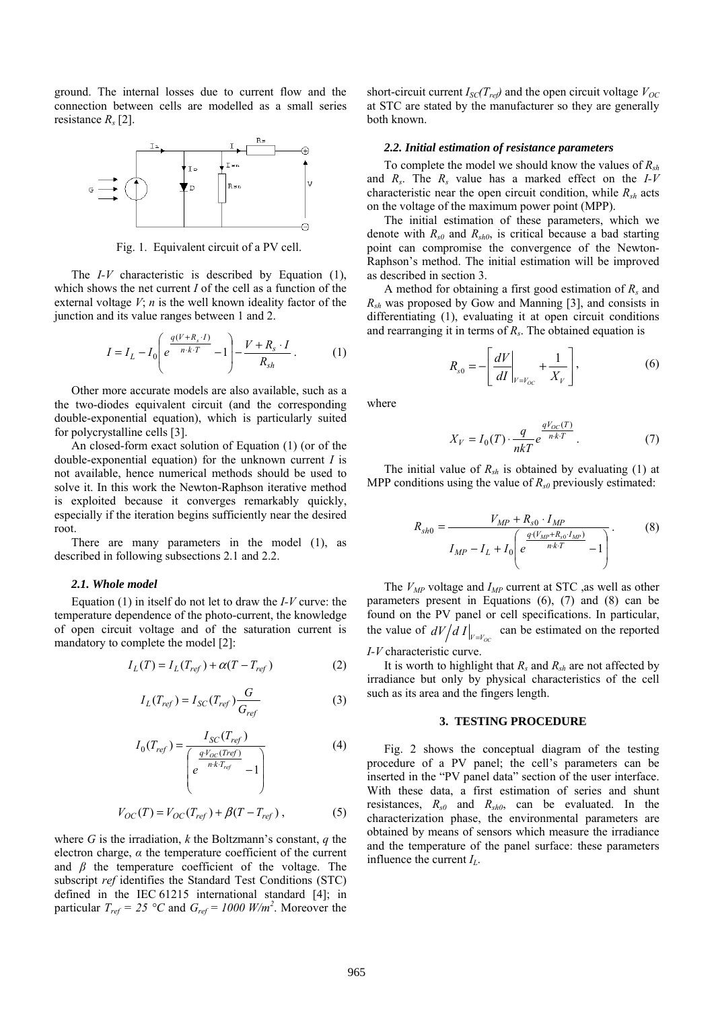ground. The internal losses due to current flow and the connection between cells are modelled as a small series resistance *Rs* [2].



Fig. 1. Equivalent circuit of a PV cell.

The *I-V* characteristic is described by Equation (1), which shows the net current *I* of the cell as a function of the external voltage  $V$ ;  $n$  is the well known ideality factor of the junction and its value ranges between 1 and 2.

$$
I = I_L - I_0 \left( e^{\frac{q(V + R_s \cdot I)}{n \cdot k \cdot T}} - 1 \right) - \frac{V + R_s \cdot I}{R_{sh}}.
$$
 (1)

Other more accurate models are also available, such as a the two-diodes equivalent circuit (and the corresponding double-exponential equation), which is particularly suited for polycrystalline cells [3].

An closed-form exact solution of Equation (1) (or of the double-exponential equation) for the unknown current *I* is not available, hence numerical methods should be used to solve it. In this work the Newton-Raphson iterative method is exploited because it converges remarkably quickly, especially if the iteration begins sufficiently near the desired root.

There are many parameters in the model (1), as described in following subsections 2.1 and 2.2.

## *2.1. Whole model*

Equation (1) in itself do not let to draw the *I-V* curve: the temperature dependence of the photo-current, the knowledge of open circuit voltage and of the saturation current is mandatory to complete the model [2]:

$$
I_L(T) = I_L(T_{ref}) + \alpha (T - T_{ref})
$$
 (2)

$$
I_L(T_{ref}) = I_{SC}(T_{ref}) \frac{G}{G_{ref}}
$$
 (3)

$$
I_0(T_{ref}) = \frac{I_{SC}(T_{ref})}{\begin{pmatrix} \frac{qV_{OC}(T_{ref})}{nkT_{ref}} & -1 \end{pmatrix}}
$$
(4)

$$
V_{OC}(T) = V_{OC}(T_{ref}) + \beta (T - T_{ref}),
$$
 (5)

where *G* is the irradiation, *k* the Boltzmann's constant, *q* the electron charge,  $\alpha$  the temperature coefficient of the current and  $\beta$  the temperature coefficient of the voltage. The subscript *ref* identifies the Standard Test Conditions (STC) defined in the IEC 61215 international standard [4]; in particular  $T_{ref} = 25 \degree C$  and  $G_{ref} = 1000$  W/m<sup>2</sup>. Moreover the short-circuit current  $I_{\text{SC}}(T_{\text{ref}})$  and the open circuit voltage  $V_{\text{OC}}$ at STC are stated by the manufacturer so they are generally both known.

#### *2.2. Initial estimation of resistance parameters*

To complete the model we should know the values of *Rsh* and *Rs*. The *Rs* value has a marked effect on the *I-V* characteristic near the open circuit condition, while  $R_{sh}$  acts on the voltage of the maximum power point (MPP).

The initial estimation of these parameters, which we denote with  $R_{s0}$  and  $R_{sh0}$ , is critical because a bad starting point can compromise the convergence of the Newton-Raphson's method. The initial estimation will be improved as described in section 3.

A method for obtaining a first good estimation of *Rs* and *Rsh* was proposed by Gow and Manning [3], and consists in differentiating (1), evaluating it at open circuit conditions and rearranging it in terms of *Rs*. The obtained equation is

$$
R_{s0} = -\left[\frac{dV}{dI}\bigg|_{V=V_{OC}} + \frac{1}{X_V}\right],\tag{6}
$$

where

$$
X_V = I_0(T) \cdot \frac{q}{nkT} e^{\frac{qV_{OC}(T)}{nkT}}.
$$
 (7)

The initial value of  $R_{sh}$  is obtained by evaluating (1) at MPP conditions using the value of  $R_{s0}$  previously estimated:

$$
R_{sh0} = \frac{V_{MP} + R_{s0} \cdot I_{MP}}{I_{MP} - I_L + I_0 \left(e^{\frac{q(V_{MP} + R_{s0} \cdot I_{MP})}{nkT}} - 1\right)}.
$$
(8)

The  $V_{MP}$  voltage and  $I_{MP}$  current at STC , as well as other parameters present in Equations (6), (7) and (8) can be found on the PV panel or cell specifications. In particular, the value of  $dV/dI|_{V=V_{OC}}$  can be estimated on the reported

*I-V* characteristic curve.

It is worth to highlight that *Rs* and *Rsh* are not affected by irradiance but only by physical characteristics of the cell such as its area and the fingers length.

#### **3. TESTING PROCEDURE**

Fig. 2 shows the conceptual diagram of the testing procedure of a PV panel; the cell's parameters can be inserted in the "PV panel data" section of the user interface. With these data, a first estimation of series and shunt resistances, *Rs0* and *Rsh0*, can be evaluated. In the characterization phase, the environmental parameters are obtained by means of sensors which measure the irradiance and the temperature of the panel surface: these parameters influence the current  $I_L$ .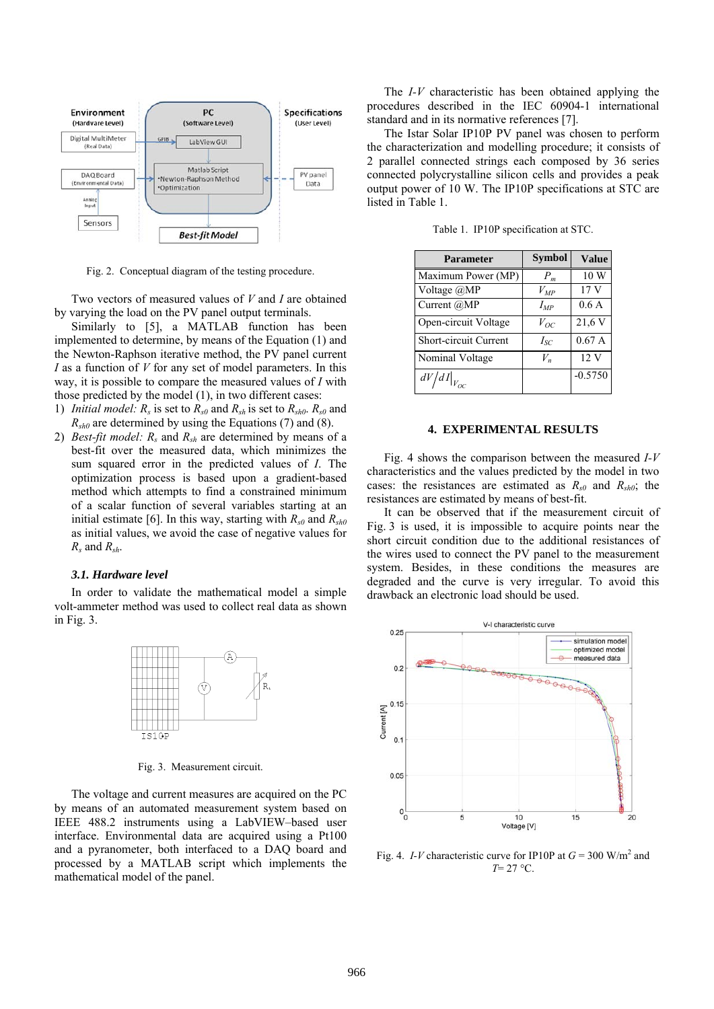

Fig. 2. Conceptual diagram of the testing procedure.

Two vectors of measured values of *V* and *I* are obtained by varying the load on the PV panel output terminals.

Similarly to [5], a MATLAB function has been implemented to determine, by means of the Equation (1) and the Newton-Raphson iterative method, the PV panel current *I* as a function of *V* for any set of model parameters. In this way, it is possible to compare the measured values of *I* with those predicted by the model (1), in two different cases:

- 1) *Initial model:*  $R_s$  is set to  $R_{s0}$  and  $R_{sh}$  is set to  $R_{sh0}$ .  $R_{s0}$  and  $R_{sh0}$  are determined by using the Equations (7) and (8).
- 2) *Best-fit model: Rs* and *Rsh* are determined by means of a best-fit over the measured data, which minimizes the sum squared error in the predicted values of *I*. The optimization process is based upon a gradient-based method which attempts to find a constrained minimum of a scalar function of several variables starting at an initial estimate [6]. In this way, starting with  $R_{s0}$  and  $R_{sh0}$ as initial values, we avoid the case of negative values for *Rs* and *Rsh*.

## *3.1. Hardware level*

In order to validate the mathematical model a simple volt-ammeter method was used to collect real data as shown in Fig. 3.



Fig. 3. Measurement circuit.

The voltage and current measures are acquired on the PC by means of an automated measurement system based on IEEE 488.2 instruments using a LabVIEW–based user interface. Environmental data are acquired using a Pt100 and a pyranometer, both interfaced to a DAQ board and processed by a MATLAB script which implements the mathematical model of the panel.

The *I-V* characteristic has been obtained applying the procedures described in the IEC 60904-1 international standard and in its normative references [7].

The Istar Solar IP10P PV panel was chosen to perform the characterization and modelling procedure; it consists of 2 parallel connected strings each composed by 36 series connected polycrystalline silicon cells and provides a peak output power of 10 W. The IP10P specifications at STC are listed in Table 1.

| <b>Parameter</b>     | <b>Symbol</b> | <b>Value</b>    |
|----------------------|---------------|-----------------|
| Maximum Power (MP)   | $P_m$         | 10 W            |
| Voltage @MP          | $V_{MP}$      | 17 <sub>V</sub> |
| Current $(a)MP$      | $I_{MP}$      | 0.6A            |
| Open-circuit Voltage | $V_{OC}$      | 21,6 V          |

Short-circuit Current *I<sub>SC</sub>* 0.67 A Nominal Voltage  $V_n$  12 V  $dV/dI|_{V_{OC}}$  -0.5750

Table 1. IP10P specification at STC.

## **4. EXPERIMENTAL RESULTS**

Fig. 4 shows the comparison between the measured *I-V* characteristics and the values predicted by the model in two cases: the resistances are estimated as  $R_{s0}$  and  $R_{sh0}$ ; the resistances are estimated by means of best-fit.

It can be observed that if the measurement circuit of Fig. 3 is used, it is impossible to acquire points near the short circuit condition due to the additional resistances of the wires used to connect the PV panel to the measurement system. Besides, in these conditions the measures are degraded and the curve is very irregular. To avoid this drawback an electronic load should be used.



Fig. 4. *I-V* characteristic curve for IP10P at  $G = 300$  W/m<sup>2</sup> and *T*= 27 °C.